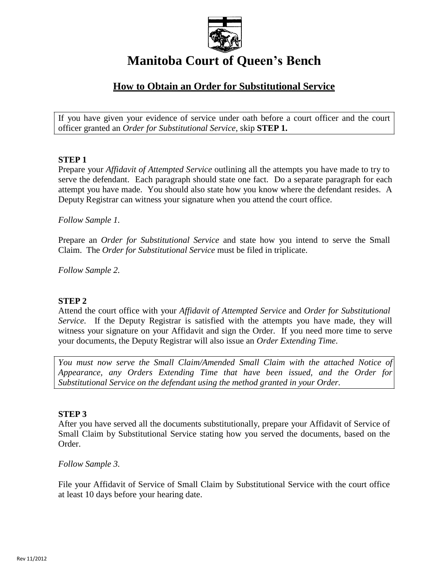

# **Manitoba Court of Queen's Bench**

# **How to Obtain an Order for Substitutional Service**

If you have given your evidence of service under oath before a court officer and the court officer granted an *Order for Substitutional Service*, skip **STEP 1.**

# **STEP 1**

Prepare your *Affidavit of Attempted Service* outlining all the attempts you have made to try to serve the defendant. Each paragraph should state one fact. Do a separate paragraph for each attempt you have made. You should also state how you know where the defendant resides. A Deputy Registrar can witness your signature when you attend the court office.

#### *Follow Sample 1.*

Prepare an *Order for Substitutional Service* and state how you intend to serve the Small Claim. The *Order for Substitutional Service* must be filed in triplicate.

*Follow Sample 2.*

# **STEP 2**

Attend the court office with your *Affidavit of Attempted Service* and *Order for Substitutional Service*. If the Deputy Registrar is satisfied with the attempts you have made, they will witness your signature on your Affidavit and sign the Order. If you need more time to serve your documents, the Deputy Registrar will also issue an *Order Extending Time*.

*You must now serve the Small Claim/Amended Small Claim with the attached Notice of Appearance, any Orders Extending Time that have been issued, and the Order for Substitutional Service on the defendant using the method granted in your Order.*

#### **STEP 3**

After you have served all the documents substitutionally, prepare your Affidavit of Service of Small Claim by Substitutional Service stating how you served the documents, based on the Order.

*Follow Sample 3.*

File your Affidavit of Service of Small Claim by Substitutional Service with the court office at least 10 days before your hearing date.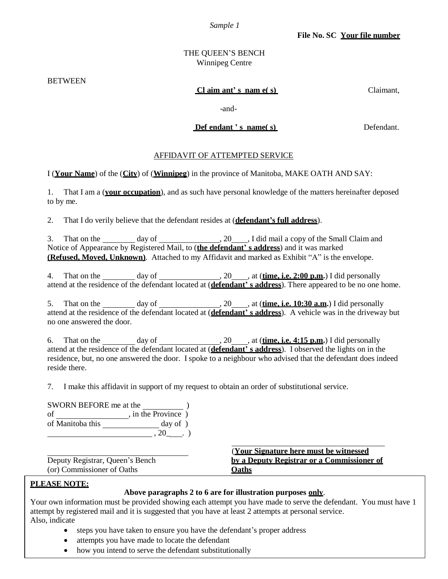*Sample 1*

# THE QUEEN'S BENCH Winnipeg Centre

BETWEEN

#### **Cl aim ant' s nam e( s)** Claimant,

-and-

#### **Def endant ' s name( s**) **Defendant.**

#### AFFIDAVIT OF ATTEMPTED SERVICE

I (**Your Name**) of the (**City**) of (**Winnipeg**) in the province of Manitoba, MAKE OATH AND SAY:

1. That I am a (**your occupation**), and as such have personal knowledge of the matters hereinafter deposed to by me.

2. That I do verily believe that the defendant resides at (**defendant's full address**).

3. That on the  $\frac{day \text{ of } (20, 20)}{x}$ , I did mail a copy of the Small Claim and Notice of Appearance by Registered Mail, to (**the defendant' s address**) and it was marked **(Refused, Moved, Unknown)**. Attached to my Affidavit and marked as Exhibit "A" is the envelope.

4. That on the day of day of  $\frac{1}{20}$ , 20 , at (**time, i.e. 2:00 p.m.**) I did personally attend at the residence of the defendant located at (**defendant' s address**). There appeared to be no one home.

5. That on the day of day of  $\frac{1}{20}$ , at (**time, i.e. 10:30 a.m.**) I did personally attend at the residence of the defendant located at (**defendant' s address**). A vehicle was in the driveway but no one answered the door.

6. That on the day of , 20 , at (**time, i.e. 4:15 p.m.**) I did personally attend at the residence of the defendant located at (**defendant' s address**). I observed the lights on in the residence, but, no one answered the door. I spoke to a neighbour who advised that the defendant does indeed reside there.

7. I make this affidavit in support of my request to obtain an order of substitutional service.

| SWORN BEFORE me at the |                    |
|------------------------|--------------------|
| οf                     | , in the Province) |
| of Manitoba this       | day of)            |
|                        |                    |

(or) Commissioner of Oaths **Oaths**

(**Your Signature here must be witnessed** Deputy Registrar, Queen's Bench **by a Deputy Registrar or a Commissioner of**

# **PLEASE NOTE:**

#### **Above paragraphs 2 to 6 are for illustration purposes only**.

Your own information must be provided showing each attempt you have made to serve the defendant. You must have 1 attempt by registered mail and it is suggested that you have at least 2 attempts at personal service. Also, indicate

- steps you have taken to ensure you have the defendant's proper address
- attempts you have made to locate the defendant
- how you intend to serve the defendant substitutionally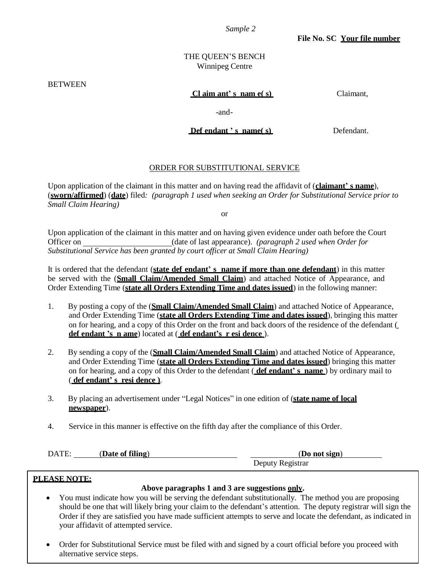*Sample 2*

**File No. SC Your file number**

#### THE QUEEN'S BENCH Winnipeg Centre

**BETWEEN** 

#### **Cl aim ant' s nam e( s)** Claimant,

-and-

**Def endant ' s name( s)** Defendant.

# ORDER FOR SUBSTITUTIONAL SERVICE

Upon application of the claimant in this matter and on having read the affidavit of (**claimant' s name**), (**sworn/affirmed**) (**date**) filed*: (paragraph 1 used when seeking an Order for Substitutional Service prior to Small Claim Hearing)*

or

Upon application of the claimant in this matter and on having given evidence under oath before the Court Officer on (date of last appearance). *(paragraph 2 used when Order for Substitutional Service has been granted by court officer at Small Claim Hearing)*

It is ordered that the defendant (**state def endant' s name if more than one defendant**) in this matter be served with the (**Small Claim/Amended Small Claim**) and attached Notice of Appearance, and Order Extending Time (**state all Orders Extending Time and dates issued**) in the following manner:

- 1. By posting a copy of the (**Small Claim/Amended Small Claim**) and attached Notice of Appearance, and Order Extending Time (**state all Orders Extending Time and dates issued**), bringing this matter on for hearing, and a copy of this Order on the front and back doors of the residence of the defendant ( **def endant 's n ame**) located at ( **def endant's r esi dence** ).
- 2. By sending a copy of the (**Small Claim/Amended Small Claim**) and attached Notice of Appearance, and Order Extending Time (**state all Orders Extending Time and dates issued**) bringing this matter on for hearing, and a copy of this Order to the defendant ( **def endant' s name** ) by ordinary mail to ( **def endant' s resi dence )**.
- 3. By placing an advertisement under "Legal Notices" in one edition of (**state name of local newspaper**).
- 4. Service in this manner is effective on the fifth day after the compliance of this Order.

| DATE: | (Date of filing) | (Do not sign)    |
|-------|------------------|------------------|
|       |                  | Deputy Registrar |

#### **PLEASE NOTE:**

# **Above paragraphs 1 and 3 are suggestions only.**

- You must indicate how you will be serving the defendant substitutionally. The method you are proposing should be one that will likely bring your claim to the defendant's attention. The deputy registrar will sign the Order if they are satisfied you have made sufficient attempts to serve and locate the defendant, as indicated in your affidavit of attempted service.
- Order for Substitutional Service must be filed with and signed by a court official before you proceed with alternative service steps.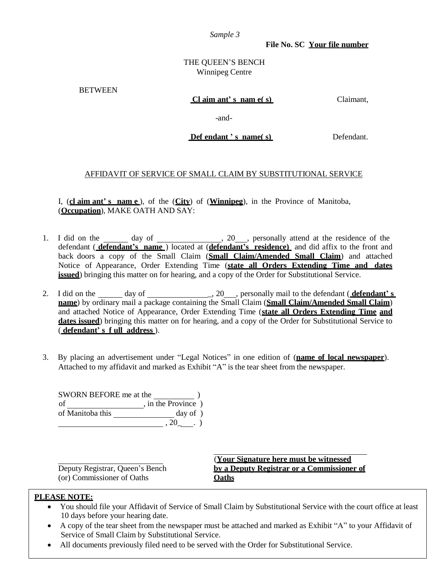*Sample 3*

**File No. SC Your file number**

#### THE QUEEN'S BENCH Winnipeg Centre

**BETWEEN** 

#### **Cl aim ant' s nam e( s)** Claimant,

-and-

**Def endant ' s name( s)** Defendant.

# AFFIDAVIT OF SERVICE OF SMALL CLAIM BY SUBSTITUTIONAL SERVICE

I, (**cl aim ant' s nam e** ), of the (**City**) of (**Winnipeg**), in the Province of Manitoba, (**Occupation**), MAKE OATH AND SAY:

- 1. I did on the day of 1. 20, personally attend at the residence of the defendant ( **defendant's name** ) located at (**defendant's residence)** and did affix to the front and back doors a copy of the Small Claim (**Small Claim/Amended Small Claim**) and attached Notice of Appearance, Order Extending Time (**state all Orders Extending Time and dates issued**) bringing this matter on for hearing, and a copy of the Order for Substitutional Service.
- 2. I did on the day of day of  $\qquad \qquad .20$ , personally mail to the defendant (**defendant's name**) by ordinary mail a package containing the Small Claim (**Small Claim/Amended Small Claim**) and attached Notice of Appearance, Order Extending Time (**state all Orders Extending Time and dates issued**) bringing this matter on for hearing, and a copy of the Order for Substitutional Service to ( **defendant' s f ull address** ).
- 3. By placing an advertisement under "Legal Notices" in one edition of (**name of local newspaper**). Attached to my affidavit and marked as Exhibit "A" is the tear sheet from the newspaper.

SWORN BEFORE me at the  $)$ of , in the Province ) of Manitoba this \_\_\_\_\_\_\_\_\_\_\_\_\_\_\_\_\_\_\_\_ day of )  $, 20 \quad . \quad )$ 

(or) Commissioner of Oaths **Oaths**

(**Your Signature here must be witnessed** Deputy Registrar, Queen's Bench **by a Deputy Registrar or a Commissioner of**

# **PLEASE NOTE:**

- You should file your Affidavit of Service of Small Claim by Substitutional Service with the court office at least 10 days before your hearing date.
- A copy of the tear sheet from the newspaper must be attached and marked as Exhibit "A" to your Affidavit of Service of Small Claim by Substitutional Service.
- All documents previously filed need to be served with the Order for Substitutional Service.